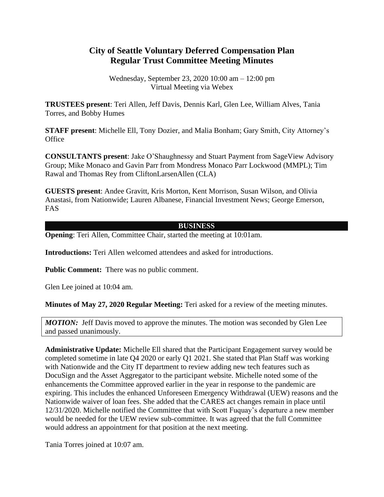## **City of Seattle Voluntary Deferred Compensation Plan Regular Trust Committee Meeting Minutes**

Wednesday, September 23, 2020 10:00 am – 12:00 pm Virtual Meeting via Webex

**TRUSTEES present**: Teri Allen, Jeff Davis, Dennis Karl, Glen Lee, William Alves, Tania Torres, and Bobby Humes

**STAFF present**: Michelle Ell, Tony Dozier, and Malia Bonham; Gary Smith, City Attorney's **Office** 

**CONSULTANTS present**: Jake O'Shaughnessy and Stuart Payment from SageView Advisory Group; Mike Monaco and Gavin Parr from Mondress Monaco Parr Lockwood (MMPL); Tim Rawal and Thomas Rey from CliftonLarsenAllen (CLA)

**GUESTS present**: Andee Gravitt, Kris Morton, Kent Morrison, Susan Wilson, and Olivia Anastasi, from Nationwide; Lauren Albanese, Financial Investment News; George Emerson, FAS

## **BUSINESS**

**Opening**: Teri Allen, Committee Chair, started the meeting at 10:01am.

**Introductions:** Teri Allen welcomed attendees and asked for introductions.

**Public Comment:** There was no public comment.

Glen Lee joined at 10:04 am.

**Minutes of May 27, 2020 Regular Meeting:** Teri asked for a review of the meeting minutes.

*MOTION:* Jeff Davis moved to approve the minutes. The motion was seconded by Glen Lee and passed unanimously.

**Administrative Update:** Michelle Ell shared that the Participant Engagement survey would be completed sometime in late Q4 2020 or early Q1 2021. She stated that Plan Staff was working with Nationwide and the City IT department to review adding new tech features such as DocuSign and the Asset Aggregator to the participant website. Michelle noted some of the enhancements the Committee approved earlier in the year in response to the pandemic are expiring. This includes the enhanced Unforeseen Emergency Withdrawal (UEW) reasons and the Nationwide waiver of loan fees. She added that the CARES act changes remain in place until 12/31/2020. Michelle notified the Committee that with Scott Fuquay's departure a new member would be needed for the UEW review sub-committee. It was agreed that the full Committee would address an appointment for that position at the next meeting.

Tania Torres joined at 10:07 am.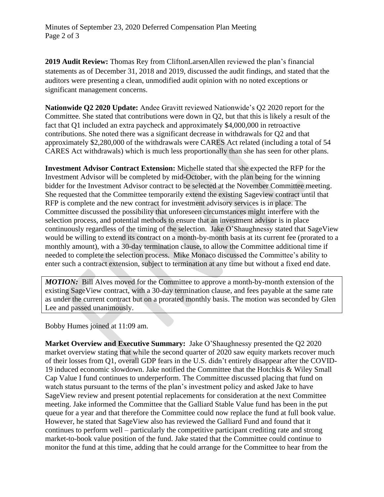**2019 Audit Review:** Thomas Rey from CliftonLarsenAllen reviewed the plan's financial statements as of December 31, 2018 and 2019, discussed the audit findings, and stated that the auditors were presenting a clean, unmodified audit opinion with no noted exceptions or significant management concerns.

**Nationwide Q2 2020 Update:** Andee Gravitt reviewed Nationwide's Q2 2020 report for the Committee. She stated that contributions were down in Q2, but that this is likely a result of the fact that Q1 included an extra paycheck and approximately \$4,000,000 in retroactive contributions. She noted there was a significant decrease in withdrawals for Q2 and that approximately \$2,280,000 of the withdrawals were CARES Act related (including a total of 54 CARES Act withdrawals) which is much less proportionally than she has seen for other plans.

**Investment Advisor Contract Extension:** Michelle stated that she expected the RFP for the Investment Advisor will be completed by mid-October, with the plan being for the winning bidder for the Investment Advisor contract to be selected at the November Committee meeting. She requested that the Committee temporarily extend the existing Sageview contract until that RFP is complete and the new contract for investment advisory services is in place. The Committee discussed the possibility that unforeseen circumstances might interfere with the selection process, and potential methods to ensure that an investment advisor is in place continuously regardless of the timing of the selection. Jake O'Shaughnessy stated that SageView would be willing to extend its contract on a month-by-month basis at its current fee (prorated to a monthly amount), with a 30-day termination clause, to allow the Committee additional time if needed to complete the selection process. Mike Monaco discussed the Committee's ability to enter such a contract extension, subject to termination at any time but without a fixed end date.

*MOTION:* Bill Alves moved for the Committee to approve a month-by-month extension of the existing SageView contract, with a 30-day termination clause, and fees payable at the same rate as under the current contract but on a prorated monthly basis. The motion was seconded by Glen Lee and passed unanimously.

Bobby Humes joined at 11:09 am.

**Market Overview and Executive Summary:** Jake O'Shaughnessy presented the Q2 2020 market overview stating that while the second quarter of 2020 saw equity markets recover much of their losses from Q1, overall GDP fears in the U.S. didn't entirely disappear after the COVID-19 induced economic slowdown. Jake notified the Committee that the Hotchkis & Wiley Small Cap Value I fund continues to underperform. The Committee discussed placing that fund on watch status pursuant to the terms of the plan's investment policy and asked Jake to have SageView review and present potential replacements for consideration at the next Committee meeting. Jake informed the Committee that the Galliard Stable Value fund has been in the put queue for a year and that therefore the Committee could now replace the fund at full book value. However, he stated that SageView also has reviewed the Galliard Fund and found that it continues to perform well – particularly the competitive participant crediting rate and strong market-to-book value position of the fund. Jake stated that the Committee could continue to monitor the fund at this time, adding that he could arrange for the Committee to hear from the